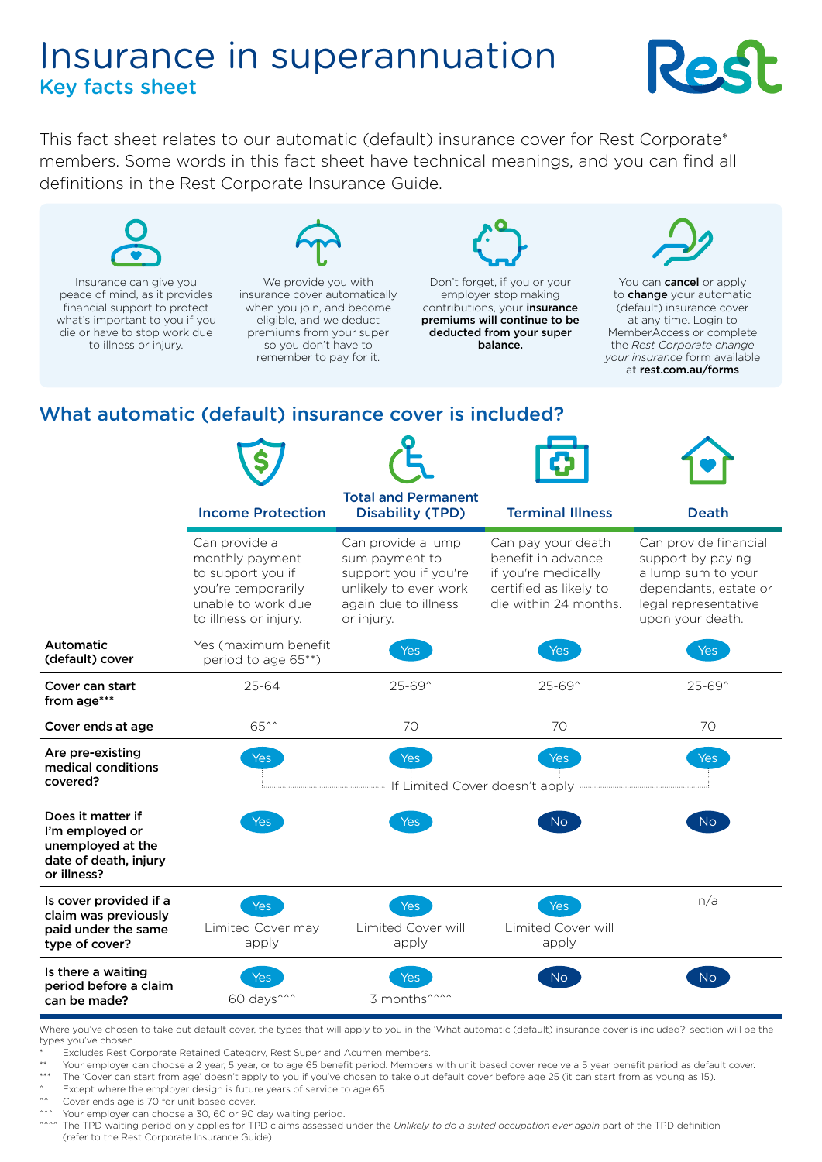# Insurance in superannuation Key facts sheet



This fact sheet relates to our automatic (default) insurance cover for Rest Corporate\* members. Some words in this fact sheet have technical meanings, and you can find all definitions in the Rest Corporate Insurance Guide.



Insurance can give you peace of mind, as it provides financial support to protect what's important to you if you die or have to stop work due to illness or injury.



We provide you with insurance cover automatically when you join, and become eligible, and we deduct premiums from your super so you don't have to remember to pay for it.



Don't forget, if you or your employer stop making contributions, your insurance premiums will continue to be deducted from your super balance.



You can **cancel** or apply to **change** your automatic (default) insurance cover at any time. Login to MemberAccess or complete the *Rest Corporate change your insurance* form available at [rest.com.au/forms](https://rest.com.au/forms)

# What automatic (default) insurance cover is included?

|                                                                                                   | <b>Income Protection</b>                                                                                                   | <b>Total and Permanent</b><br><b>Disability (TPD)</b>                                                                        | <b>Terminal Illness</b>                                                                                            | <b>Death</b>                                                                                                                          |
|---------------------------------------------------------------------------------------------------|----------------------------------------------------------------------------------------------------------------------------|------------------------------------------------------------------------------------------------------------------------------|--------------------------------------------------------------------------------------------------------------------|---------------------------------------------------------------------------------------------------------------------------------------|
|                                                                                                   | Can provide a<br>monthly payment<br>to support you if<br>you're temporarily<br>unable to work due<br>to illness or injury. | Can provide a lump<br>sum payment to<br>support you if you're<br>unlikely to ever work<br>again due to illness<br>or injury. | Can pay your death<br>benefit in advance<br>if you're medically<br>certified as likely to<br>die within 24 months. | Can provide financial<br>support by paying<br>a lump sum to your<br>dependants, estate or<br>legal representative<br>upon your death. |
| <b>Automatic</b><br>(default) cover                                                               | Yes (maximum benefit<br>period to age 65**)                                                                                | Yes                                                                                                                          | <b>Yes</b>                                                                                                         | Yes                                                                                                                                   |
| Cover can start<br>from age***                                                                    | $25 - 64$                                                                                                                  | $25 - 69^{\circ}$                                                                                                            | 25-69^                                                                                                             | 25-69^                                                                                                                                |
| Cover ends at age                                                                                 | 65^^                                                                                                                       | 70                                                                                                                           | 70                                                                                                                 | 70                                                                                                                                    |
| Are pre-existing<br>medical conditions<br>covered?                                                | Yes                                                                                                                        | <b>Yes</b><br>If Limited Cover doesn't apply                                                                                 | Yes                                                                                                                | <b>Yes</b>                                                                                                                            |
| Does it matter if<br>I'm employed or<br>unemployed at the<br>date of death, injury<br>or illness? | Yes                                                                                                                        | Yes                                                                                                                          | No.                                                                                                                | No                                                                                                                                    |
| Is cover provided if a<br>claim was previously<br>paid under the same<br>type of cover?           | Yes<br>Limited Cover may<br>apply                                                                                          | <b>Yes</b><br>Limited Cover will<br>apply                                                                                    | <b>Yes</b><br>Limited Cover will<br>apply                                                                          | n/a                                                                                                                                   |
| Is there a waiting<br>period before a claim<br>can be made?                                       | res<br>60 days <sup>^^^</sup>                                                                                              | 3 months <sup>^^^^</sup>                                                                                                     | No.                                                                                                                | No.                                                                                                                                   |

Where you've chosen to take out default cover, the types that will apply to you in the 'What automatic (default) insurance cover is included?' section will be the types you've chosen.

\* Excludes Rest Corporate Retained Category, Rest Super and Acumen members.

Your employer can choose a 2 year, 5 year, or to age 65 benefit period. Members with unit based cover receive a 5 year benefit period as default cover.

\*\*\* The 'Cover can start from age' doesn't apply to you if you've chosen to take out default cover before age 25 (it can start from as young as 15).

Except where the employer design is future years of service to age 65.

Cover ends age is 70 for unit based cover.

Your employer can choose a 30, 60 or 90 day waiting period.

<sup>200</sup> The TPD waiting period only applies for TPD claims assessed under the *Unlikely to do a suited occupation ever again* part of the TPD definition (refer to the Rest Corporate Insurance Guide).